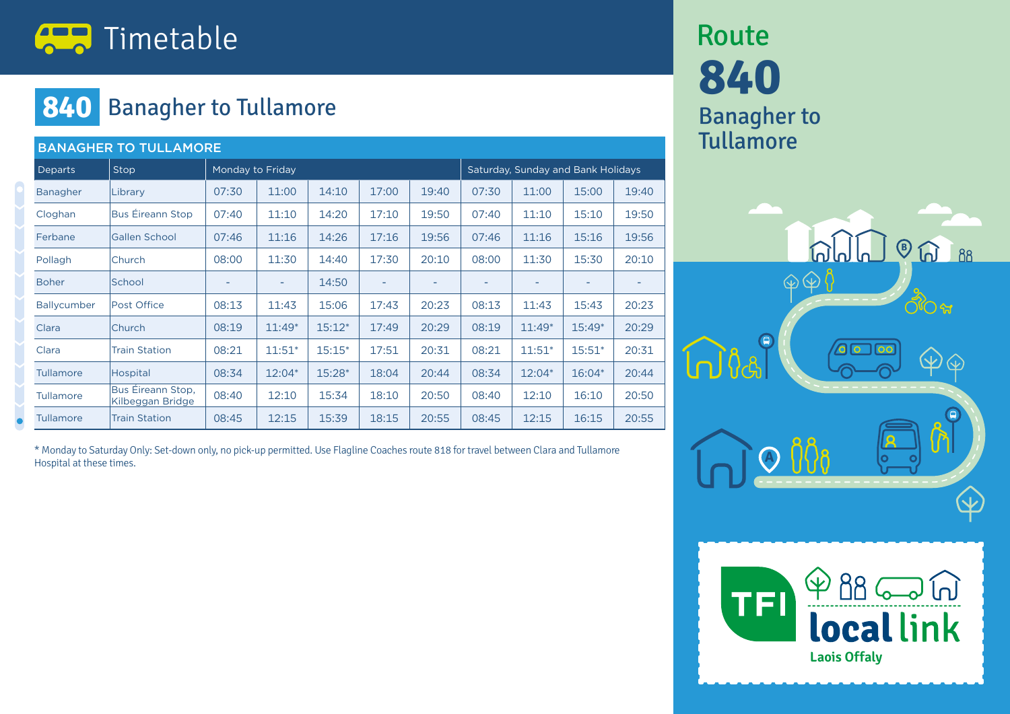

#### **840** Banagher to Tullamore

| <b>BANAGHER TO TULLAMORE</b> |                                       |                  |          |          |                          |                          |                                    |          |          |                          |  |
|------------------------------|---------------------------------------|------------------|----------|----------|--------------------------|--------------------------|------------------------------------|----------|----------|--------------------------|--|
| <b>Departs</b>               | Stop                                  | Monday to Friday |          |          |                          |                          | Saturday, Sunday and Bank Holidays |          |          |                          |  |
| <b>Banagher</b>              | Library                               | 07:30            | 11:00    | 14:10    | 17:00                    | 19:40                    | 07:30                              | 11:00    | 15:00    | 19:40                    |  |
| Cloghan                      | <b>Bus Éireann Stop</b>               | 07:40            | 11:10    | 14:20    | 17:10                    | 19:50                    | 07:40                              | 11:10    | 15:10    | 19:50                    |  |
| Ferbane                      | <b>Gallen School</b>                  | 07:46            | 11:16    | 14:26    | 17:16                    | 19:56                    | 07:46                              | 11:16    | 15:16    | 19:56                    |  |
| Pollagh                      | Church                                | 08:00            | 11:30    | 14:40    | 17:30                    | 20:10                    | 08:00                              | 11:30    | 15:30    | 20:10                    |  |
| <b>Boher</b>                 | School                                | ۰                | ۰        | 14:50    | $\overline{\phantom{a}}$ | $\overline{\phantom{a}}$ | ٠                                  | ۰        | ۰        | $\overline{\phantom{a}}$ |  |
| Ballycumber                  | Post Office                           | 08:13            | 11:43    | 15:06    | 17:43                    | 20:23                    | 08:13                              | 11:43    | 15:43    | 20:23                    |  |
| Clara                        | Church                                | 08:19            | $11:49*$ | $15:12*$ | 17:49                    | 20:29                    | 08:19                              | $11:49*$ | $15:49*$ | 20:29                    |  |
| Clara                        | <b>Train Station</b>                  | 08:21            | $11:51*$ | $15:15*$ | 17:51                    | 20:31                    | 08:21                              | $11:51*$ | $15:51*$ | 20:31                    |  |
| <b>Tullamore</b>             | Hospital                              | 08:34            | $12:04*$ | 15:28*   | 18:04                    | 20:44                    | 08:34                              | 12:04*   | 16:04*   | 20:44                    |  |
| <b>Tullamore</b>             | Bus Éireann Stop,<br>Kilbeggan Bridge | 08:40            | 12:10    | 15:34    | 18:10                    | 20:50                    | 08:40                              | 12:10    | 16:10    | 20:50                    |  |
| <b>Tullamore</b>             | <b>Train Station</b>                  | 08:45            | 12:15    | 15:39    | 18:15                    | 20:55                    | 08:45                              | 12:15    | 16:15    | 20:55                    |  |

\* Monday to Saturday Only: Set-down only, no pick-up permitted. Use Flagline Coaches route 818 for travel between Clara and Tullamore Hospital at these times.

## **840** Banagher to **Tullamore** Route



**Laois Offaly** 

**local link**